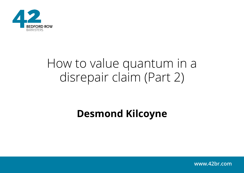

# How to value quantum in a disrepair claim (Part 2)

### **Desmond Kilcoyne**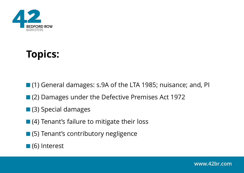

## **Topics:**

- (1) General damages: s.9A of the LTA 1985; nuisance; and, PI
- (2) Damages under the Defective Premises Act 1972
- **(3)** Special damages
- (4) Tenant's failure to mitigate their loss
- (5) Tenant's contributory negligence

■ (6) Interest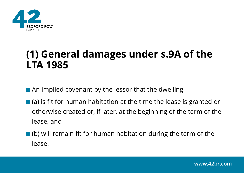

### **(1) General damages under s.9A of the LTA 1985**

■ An implied covenant by the lessor that the dwelling—

- $\blacksquare$  (a) is fit for human habitation at the time the lease is granted or otherwise created or, if later, at the beginning of the term of the lease, and
- (b) will remain fit for human habitation during the term of the lease.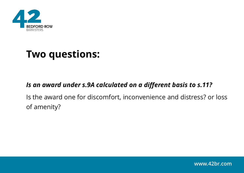

### **Two questions:**

#### *Is an award under s.9A calculated on a different basis to s.11?*

Is the award one for discomfort, inconvenience and distress? or loss of amenity?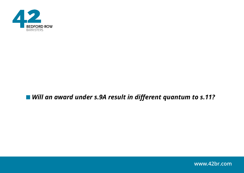

#### ■ Will an award under s.9A result in different quantum to s.11?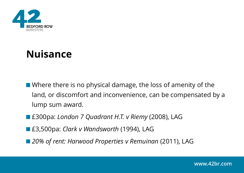

### **Nuisance**

- Where there is no physical damage, the loss of amenity of the land, or discomfort and inconvenience, can be compensated by a lump sum award.
- £300pa: *London 7 Quadrant H.T. v Riemy* (2008), LAG
- £3,500pa: *Clark v Wandsworth* (1994), LAG
- *20% of rent: Harwood Properties v Remuinan* (2011), LAG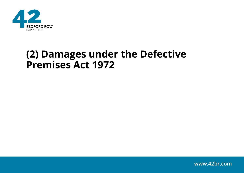

### **(2) Damages under the Defective Premises Act 1972**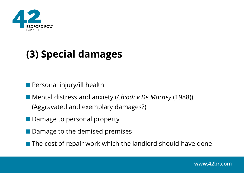

## **(3) Special damages**

**Personal injury/ill health** 

■ Mental distress and anxiety (*Chiodi v De Marney* (1988)) (Aggravated and exemplary damages?)

- Damage to personal property
- Damage to the demised premises
- $\blacksquare$  The cost of repair work which the landlord should have done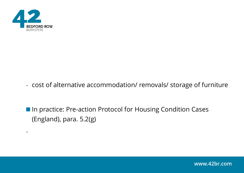

-

- cost of alternative accommodation/ removals/ storage of furniture

■ In practice: Pre-action Protocol for Housing Condition Cases (England), para. 5.2(g)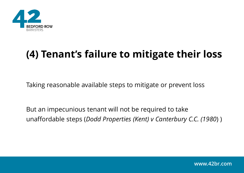

## **(4) Tenant's failure to mitigate their loss**

Taking reasonable available steps to mitigate or prevent loss

But an impecunious tenant will not be required to take unaffordable steps (*Dodd Properties (Kent) v Canterbury C.C. (1980*) )